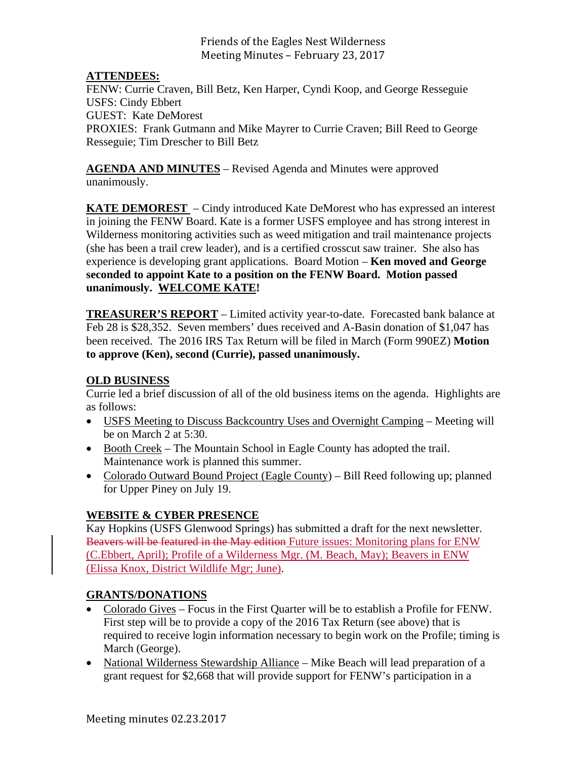Friends of the Eagles Nest Wilderness Meeting Minutes - February 23, 2017

# **ATTENDEES:**

FENW: Currie Craven, Bill Betz, Ken Harper, Cyndi Koop, and George Resseguie USFS: Cindy Ebbert GUEST: Kate DeMorest PROXIES: Frank Gutmann and Mike Mayrer to Currie Craven; Bill Reed to George Resseguie; Tim Drescher to Bill Betz

**AGENDA AND MINUTES** – Revised Agenda and Minutes were approved unanimously.

**KATE DEMOREST** – Cindy introduced Kate DeMorest who has expressed an interest in joining the FENW Board. Kate is a former USFS employee and has strong interest in Wilderness monitoring activities such as weed mitigation and trail maintenance projects (she has been a trail crew leader), and is a certified crosscut saw trainer. She also has experience is developing grant applications. Board Motion – **Ken moved and George seconded to appoint Kate to a position on the FENW Board. Motion passed unanimously. WELCOME KATE!** 

**TREASURER'S REPORT** – Limited activity year-to-date. Forecasted bank balance at Feb 28 is \$28,352. Seven members' dues received and A-Basin donation of \$1,047 has been received. The 2016 IRS Tax Return will be filed in March (Form 990EZ) **Motion to approve (Ken), second (Currie), passed unanimously.** 

### **OLD BUSINESS**

Currie led a brief discussion of all of the old business items on the agenda. Highlights are as follows:

- USFS Meeting to Discuss Backcountry Uses and Overnight Camping Meeting will be on March 2 at 5:30.
- Booth Creek The Mountain School in Eagle County has adopted the trail. Maintenance work is planned this summer.
- Colorado Outward Bound Project (Eagle County) Bill Reed following up; planned for Upper Piney on July 19.

# **WEBSITE & CYBER PRESENCE**

Kay Hopkins (USFS Glenwood Springs) has submitted a draft for the next newsletter. Beavers will be featured in the May edition Future issues: Monitoring plans for ENW (C.Ebbert, April); Profile of a Wilderness Mgr. (M. Beach, May); Beavers in ENW (Elissa Knox, District Wildlife Mgr; June).

# **GRANTS/DONATIONS**

- Colorado Gives Focus in the First Quarter will be to establish a Profile for FENW. First step will be to provide a copy of the 2016 Tax Return (see above) that is required to receive login information necessary to begin work on the Profile; timing is March (George).
- National Wilderness Stewardship Alliance Mike Beach will lead preparation of a grant request for \$2,668 that will provide support for FENW's participation in a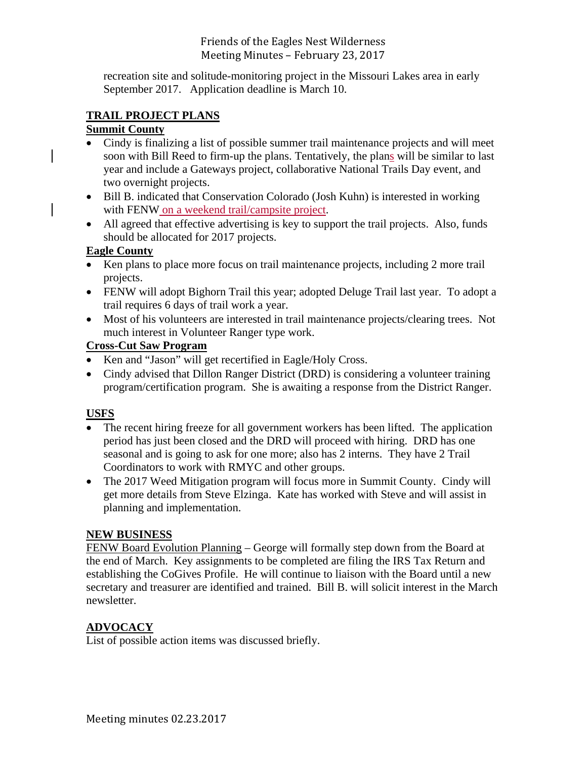# Friends of the Eagles Nest Wilderness Meeting Minutes - February 23, 2017

recreation site and solitude-monitoring project in the Missouri Lakes area in early September 2017. Application deadline is March 10.

# **TRAIL PROJECT PLANS**

# **Summit County**

- Cindy is finalizing a list of possible summer trail maintenance projects and will meet soon with Bill Reed to firm-up the plans. Tentatively, the plans will be similar to last year and include a Gateways project, collaborative National Trails Day event, and two overnight projects.
- Bill B. indicated that Conservation Colorado (Josh Kuhn) is interested in working with FENW on a weekend trail/campsite project.
- All agreed that effective advertising is key to support the trail projects. Also, funds should be allocated for 2017 projects.

# **Eagle County**

- Ken plans to place more focus on trail maintenance projects, including 2 more trail projects.
- FENW will adopt Bighorn Trail this year; adopted Deluge Trail last year. To adopt a trail requires 6 days of trail work a year.
- Most of his volunteers are interested in trail maintenance projects/clearing trees. Not much interest in Volunteer Ranger type work.

# **Cross-Cut Saw Program**

- Ken and "Jason" will get recertified in Eagle/Holy Cross.
- Cindy advised that Dillon Ranger District (DRD) is considering a volunteer training program/certification program. She is awaiting a response from the District Ranger.

# **USFS**

- The recent hiring freeze for all government workers has been lifted. The application period has just been closed and the DRD will proceed with hiring. DRD has one seasonal and is going to ask for one more; also has 2 interns. They have 2 Trail Coordinators to work with RMYC and other groups.
- The 2017 Weed Mitigation program will focus more in Summit County. Cindy will get more details from Steve Elzinga. Kate has worked with Steve and will assist in planning and implementation.

# **NEW BUSINESS**

FENW Board Evolution Planning – George will formally step down from the Board at the end of March. Key assignments to be completed are filing the IRS Tax Return and establishing the CoGives Profile. He will continue to liaison with the Board until a new secretary and treasurer are identified and trained. Bill B. will solicit interest in the March newsletter.

# **ADVOCACY**

List of possible action items was discussed briefly.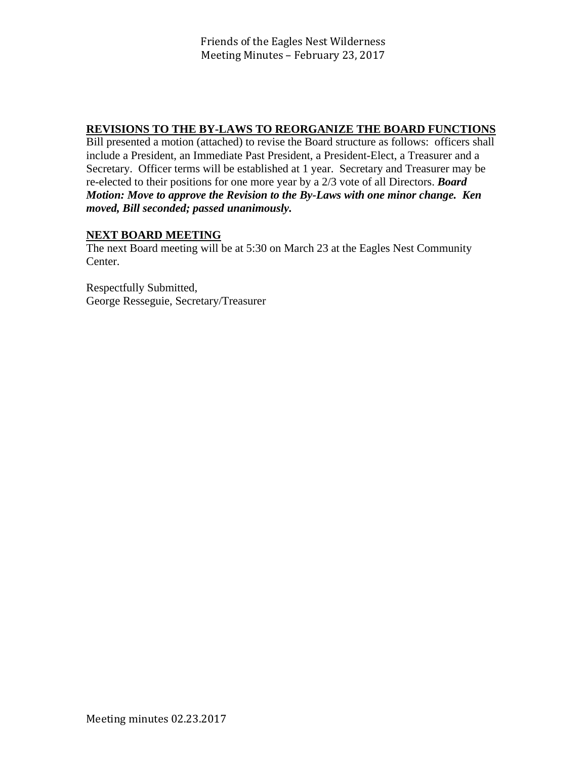# **REVISIONS TO THE BY-LAWS TO REORGANIZE THE BOARD FUNCTIONS**

Bill presented a motion (attached) to revise the Board structure as follows: officers shall include a President, an Immediate Past President, a President-Elect, a Treasurer and a Secretary. Officer terms will be established at 1 year. Secretary and Treasurer may be re-elected to their positions for one more year by a 2/3 vote of all Directors. *Board Motion: Move to approve the Revision to the By-Laws with one minor change. Ken moved, Bill seconded; passed unanimously.* 

# **NEXT BOARD MEETING**

The next Board meeting will be at 5:30 on March 23 at the Eagles Nest Community Center.

Respectfully Submitted, George Resseguie, Secretary/Treasurer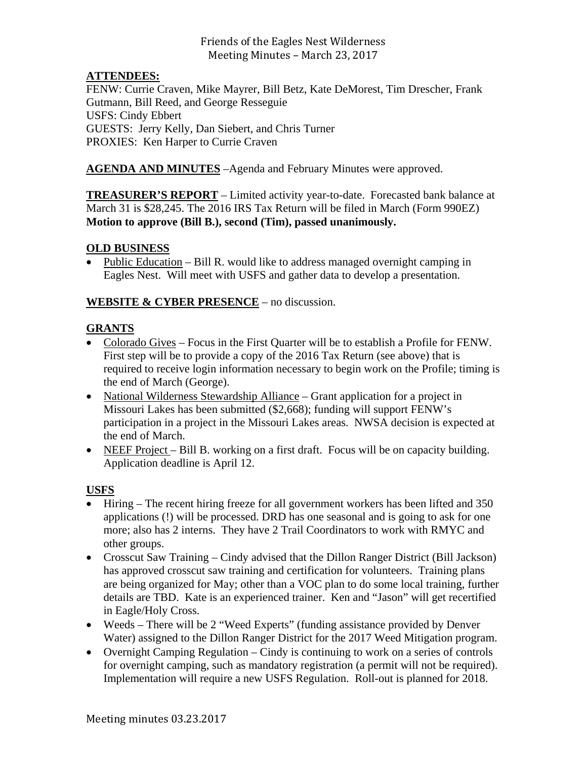# Friends of the Eagles Nest Wilderness Meeting Minutes - March 23, 2017

# **ATTENDEES:**

FENW: Currie Craven, Mike Mayrer, Bill Betz, Kate DeMorest, Tim Drescher, Frank Gutmann, Bill Reed, and George Resseguie USFS: Cindy Ebbert GUESTS: Jerry Kelly, Dan Siebert, and Chris Turner PROXIES: Ken Harper to Currie Craven

**AGENDA AND MINUTES** –Agenda and February Minutes were approved.

**TREASURER'S REPORT** – Limited activity year-to-date. Forecasted bank balance at March 31 is \$28,245. The 2016 IRS Tax Return will be filed in March (Form 990EZ) **Motion to approve (Bill B.), second (Tim), passed unanimously.** 

### **OLD BUSINESS**

• Public Education – Bill R. would like to address managed overnight camping in Eagles Nest. Will meet with USFS and gather data to develop a presentation.

### **WEBSITE & CYBER PRESENCE** – no discussion.

### **GRANTS**

- Colorado Gives Focus in the First Quarter will be to establish a Profile for FENW. First step will be to provide a copy of the 2016 Tax Return (see above) that is required to receive login information necessary to begin work on the Profile; timing is the end of March (George).
- National Wilderness Stewardship Alliance Grant application for a project in Missouri Lakes has been submitted (\$2,668); funding will support FENW's participation in a project in the Missouri Lakes areas. NWSA decision is expected at the end of March.
- NEEF Project Bill B. working on a first draft. Focus will be on capacity building. Application deadline is April 12.

# **USFS**

- Hiring The recent hiring freeze for all government workers has been lifted and 350 applications (!) will be processed. DRD has one seasonal and is going to ask for one more; also has 2 interns. They have 2 Trail Coordinators to work with RMYC and other groups.
- Crosscut Saw Training Cindy advised that the Dillon Ranger District (Bill Jackson) has approved crosscut saw training and certification for volunteers. Training plans are being organized for May; other than a VOC plan to do some local training, further details are TBD. Kate is an experienced trainer. Ken and "Jason" will get recertified in Eagle/Holy Cross.
- Weeds There will be 2 "Weed Experts" (funding assistance provided by Denver Water) assigned to the Dillon Ranger District for the 2017 Weed Mitigation program.
- Overnight Camping Regulation Cindy is continuing to work on a series of controls for overnight camping, such as mandatory registration (a permit will not be required). Implementation will require a new USFS Regulation. Roll-out is planned for 2018.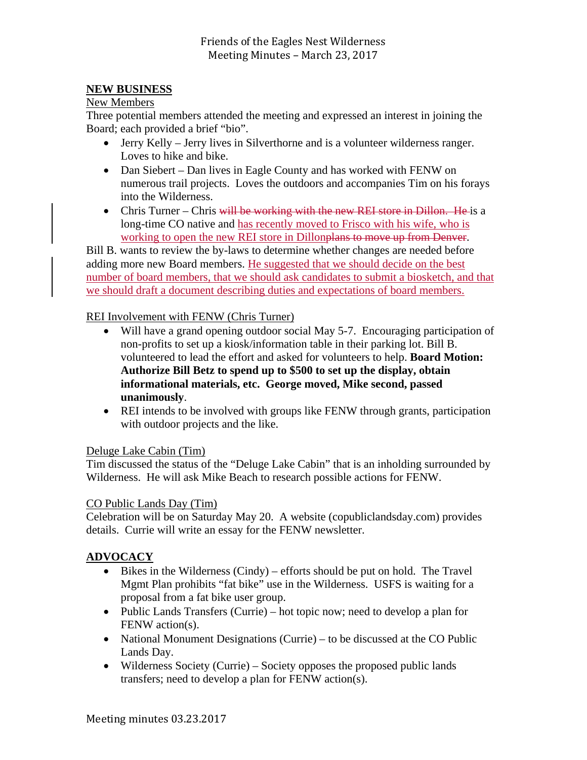# **NEW BUSINESS**

### New Members

Three potential members attended the meeting and expressed an interest in joining the Board; each provided a brief "bio".

- Jerry Kelly Jerry lives in Silverthorne and is a volunteer wilderness ranger. Loves to hike and bike.
- Dan Siebert Dan lives in Eagle County and has worked with FENW on numerous trail projects. Loves the outdoors and accompanies Tim on his forays into the Wilderness.
- Chris Turner Chris will be working with the new REI store in Dillon. He is a long-time CO native and has recently moved to Frisco with his wife, who is working to open the new REI store in Dillonplans to move up from Denver.

Bill B. wants to review the by-laws to determine whether changes are needed before adding more new Board members. He suggested that we should decide on the best number of board members, that we should ask candidates to submit a biosketch, and that we should draft a document describing duties and expectations of board members.

# REI Involvement with FENW (Chris Turner)

- Will have a grand opening outdoor social May 5-7. Encouraging participation of non-profits to set up a kiosk/information table in their parking lot. Bill B. volunteered to lead the effort and asked for volunteers to help. **Board Motion: Authorize Bill Betz to spend up to \$500 to set up the display, obtain informational materials, etc. George moved, Mike second, passed unanimously**.
- REI intends to be involved with groups like FENW through grants, participation with outdoor projects and the like.

# Deluge Lake Cabin (Tim)

Tim discussed the status of the "Deluge Lake Cabin" that is an inholding surrounded by Wilderness. He will ask Mike Beach to research possible actions for FENW.

# CO Public Lands Day (Tim)

Celebration will be on Saturday May 20. A website (copubliclandsday.com) provides details. Currie will write an essay for the FENW newsletter.

# **ADVOCACY**

- $\bullet$  Bikes in the Wilderness (Cindy) efforts should be put on hold. The Travel Mgmt Plan prohibits "fat bike" use in the Wilderness. USFS is waiting for a proposal from a fat bike user group.
- Public Lands Transfers (Currie) hot topic now; need to develop a plan for FENW action(s).
- National Monument Designations (Currie) to be discussed at the CO Public Lands Day.
- Wilderness Society (Currie) Society opposes the proposed public lands transfers; need to develop a plan for FENW action(s).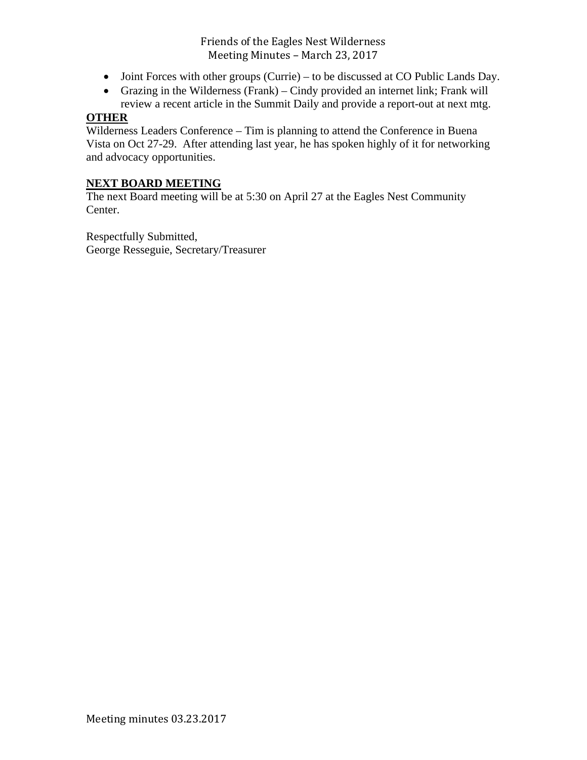Friends of the Eagles Nest Wilderness Meeting Minutes - March 23, 2017

- Joint Forces with other groups (Currie) to be discussed at CO Public Lands Day.
- Grazing in the Wilderness (Frank) Cindy provided an internet link; Frank will review a recent article in the Summit Daily and provide a report-out at next mtg.

### **OTHER**

Wilderness Leaders Conference – Tim is planning to attend the Conference in Buena Vista on Oct 27-29. After attending last year, he has spoken highly of it for networking and advocacy opportunities.

### **NEXT BOARD MEETING**

The next Board meeting will be at 5:30 on April 27 at the Eagles Nest Community Center.

Respectfully Submitted, George Resseguie, Secretary/Treasurer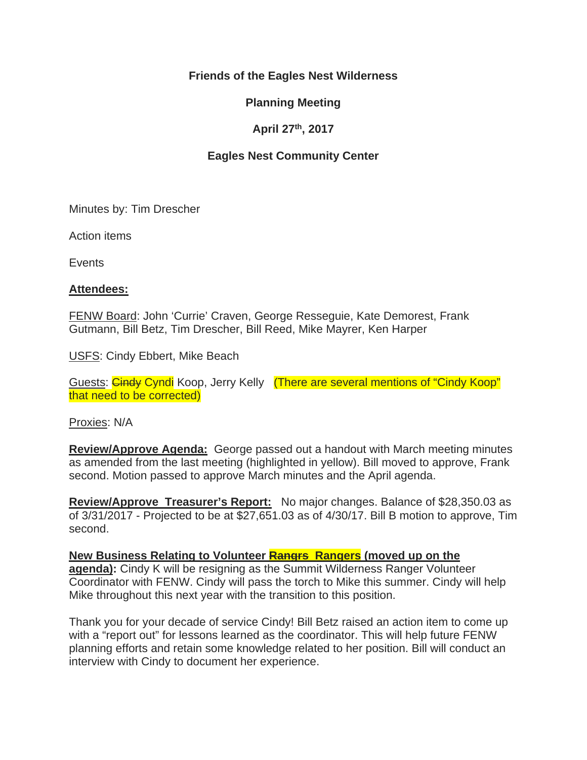# **Friends of the Eagles Nest Wilderness**

# **Planning Meeting**

# **April 27th, 2017**

# **Eagles Nest Community Center**

Minutes by: Tim Drescher

Action items

**Events** 

### **Attendees:**

FENW Board: John 'Currie' Craven, George Resseguie, Kate Demorest, Frank Gutmann, Bill Betz, Tim Drescher, Bill Reed, Mike Mayrer, Ken Harper

USFS: Cindy Ebbert, Mike Beach

Guests: Cindy Cyndi Koop, Jerry Kelly (There are several mentions of "Cindy Koop" that need to be corrected)

Proxies: N/A

**Review/Approve Agenda:** George passed out a handout with March meeting minutes as amended from the last meeting (highlighted in yellow). Bill moved to approve, Frank second. Motion passed to approve March minutes and the April agenda.

**Review/Approve Treasurer's Report:** No major changes. Balance of \$28,350.03 as of 3/31/2017 - Projected to be at \$27,651.03 as of 4/30/17. Bill B motion to approve, Tim second.

New Business Relating to Volunteer **Rangrs Rangers** (moved up on the **agenda):** Cindy K will be resigning as the Summit Wilderness Ranger Volunteer Coordinator with FENW. Cindy will pass the torch to Mike this summer. Cindy will help Mike throughout this next year with the transition to this position.

Thank you for your decade of service Cindy! Bill Betz raised an action item to come up with a "report out" for lessons learned as the coordinator. This will help future FENW planning efforts and retain some knowledge related to her position. Bill will conduct an interview with Cindy to document her experience.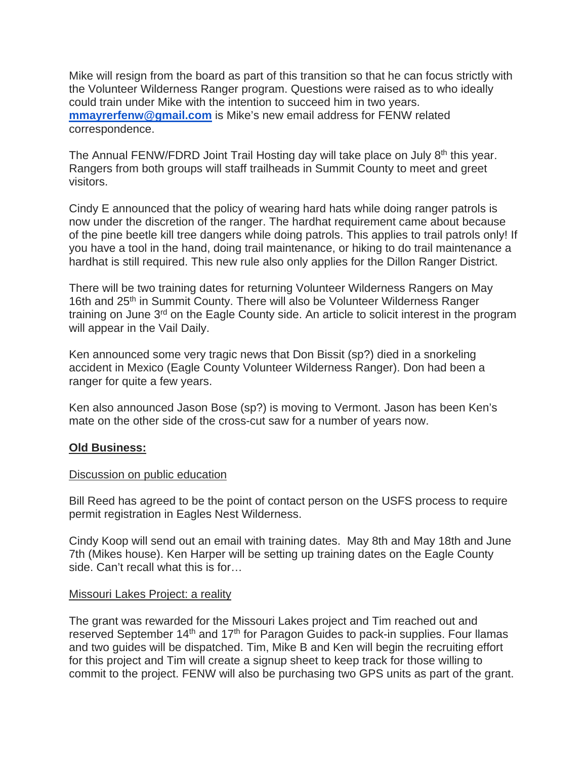Mike will resign from the board as part of this transition so that he can focus strictly with the Volunteer Wilderness Ranger program. Questions were raised as to who ideally could train under Mike with the intention to succeed him in two years. **mmayrerfenw@gmail.com** is Mike's new email address for FENW related correspondence.

The Annual FENW/FDRD Joint Trail Hosting day will take place on July 8<sup>th</sup> this year. Rangers from both groups will staff trailheads in Summit County to meet and greet visitors.

Cindy E announced that the policy of wearing hard hats while doing ranger patrols is now under the discretion of the ranger. The hardhat requirement came about because of the pine beetle kill tree dangers while doing patrols. This applies to trail patrols only! If you have a tool in the hand, doing trail maintenance, or hiking to do trail maintenance a hardhat is still required. This new rule also only applies for the Dillon Ranger District.

There will be two training dates for returning Volunteer Wilderness Rangers on May 16th and 25<sup>th</sup> in Summit County. There will also be Volunteer Wilderness Ranger training on June 3<sup>rd</sup> on the Eagle County side. An article to solicit interest in the program will appear in the Vail Daily.

Ken announced some very tragic news that Don Bissit (sp?) died in a snorkeling accident in Mexico (Eagle County Volunteer Wilderness Ranger). Don had been a ranger for quite a few years.

Ken also announced Jason Bose (sp?) is moving to Vermont. Jason has been Ken's mate on the other side of the cross-cut saw for a number of years now.

# **Old Business:**

# Discussion on public education

Bill Reed has agreed to be the point of contact person on the USFS process to require permit registration in Eagles Nest Wilderness.

Cindy Koop will send out an email with training dates. May 8th and May 18th and June 7th (Mikes house). Ken Harper will be setting up training dates on the Eagle County side. Can't recall what this is for…

# Missouri Lakes Project: a reality

The grant was rewarded for the Missouri Lakes project and Tim reached out and reserved September 14<sup>th</sup> and 17<sup>th</sup> for Paragon Guides to pack-in supplies. Four llamas and two guides will be dispatched. Tim, Mike B and Ken will begin the recruiting effort for this project and Tim will create a signup sheet to keep track for those willing to commit to the project. FENW will also be purchasing two GPS units as part of the grant.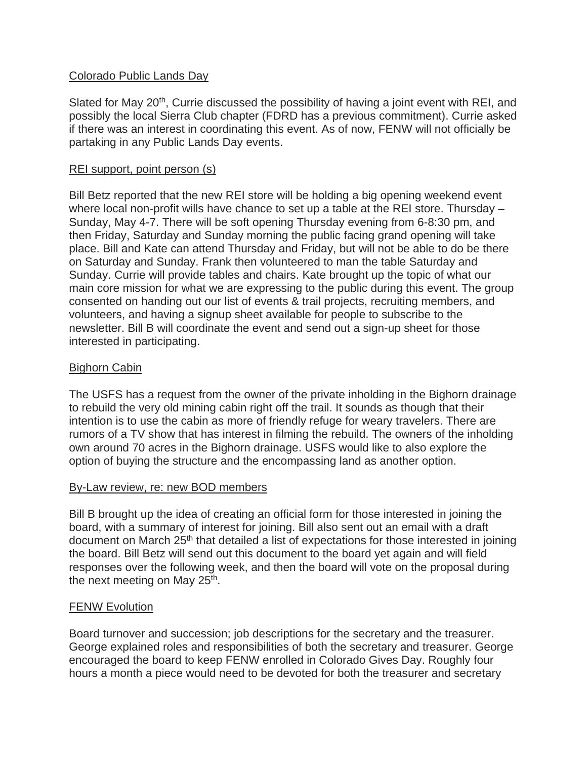# Colorado Public Lands Day

Slated for May 20<sup>th</sup>, Currie discussed the possibility of having a joint event with REI, and possibly the local Sierra Club chapter (FDRD has a previous commitment). Currie asked if there was an interest in coordinating this event. As of now, FENW will not officially be partaking in any Public Lands Day events.

# REI support, point person (s)

Bill Betz reported that the new REI store will be holding a big opening weekend event where local non-profit wills have chance to set up a table at the REI store. Thursday – Sunday, May 4-7. There will be soft opening Thursday evening from 6-8:30 pm, and then Friday, Saturday and Sunday morning the public facing grand opening will take place. Bill and Kate can attend Thursday and Friday, but will not be able to do be there on Saturday and Sunday. Frank then volunteered to man the table Saturday and Sunday. Currie will provide tables and chairs. Kate brought up the topic of what our main core mission for what we are expressing to the public during this event. The group consented on handing out our list of events & trail projects, recruiting members, and volunteers, and having a signup sheet available for people to subscribe to the newsletter. Bill B will coordinate the event and send out a sign-up sheet for those interested in participating.

# Bighorn Cabin

The USFS has a request from the owner of the private inholding in the Bighorn drainage to rebuild the very old mining cabin right off the trail. It sounds as though that their intention is to use the cabin as more of friendly refuge for weary travelers. There are rumors of a TV show that has interest in filming the rebuild. The owners of the inholding own around 70 acres in the Bighorn drainage. USFS would like to also explore the option of buying the structure and the encompassing land as another option.

# By-Law review, re: new BOD members

Bill B brought up the idea of creating an official form for those interested in joining the board, with a summary of interest for joining. Bill also sent out an email with a draft document on March 25<sup>th</sup> that detailed a list of expectations for those interested in joining the board. Bill Betz will send out this document to the board yet again and will field responses over the following week, and then the board will vote on the proposal during the next meeting on May 25<sup>th</sup>.

# FENW Evolution

Board turnover and succession; job descriptions for the secretary and the treasurer. George explained roles and responsibilities of both the secretary and treasurer. George encouraged the board to keep FENW enrolled in Colorado Gives Day. Roughly four hours a month a piece would need to be devoted for both the treasurer and secretary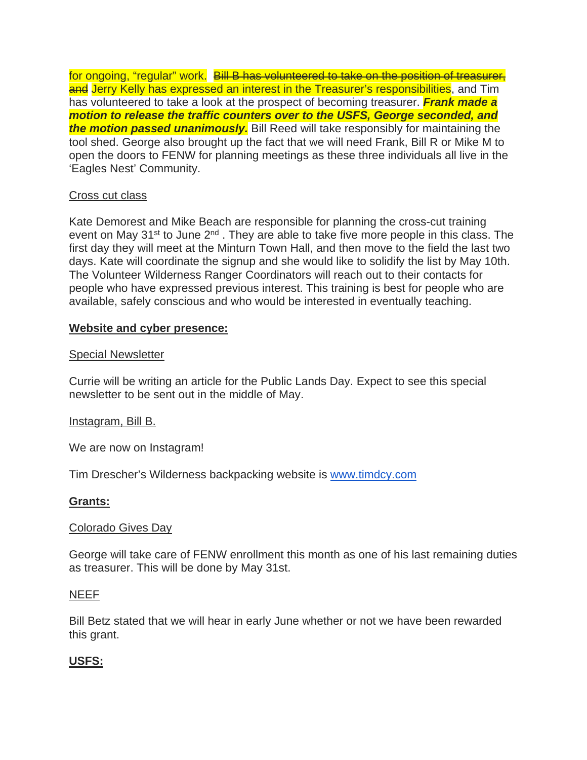for ongoing, "regular" work. Bill B has volunteered to take on the position of treasurer, and Jerry Kelly has expressed an interest in the Treasurer's responsibilities, and Tim has volunteered to take a look at the prospect of becoming treasurer. *Frank made a motion to release the traffic counters over to the USFS, George seconded, and the motion passed unanimously.* Bill Reed will take responsibly for maintaining the tool shed. George also brought up the fact that we will need Frank, Bill R or Mike M to open the doors to FENW for planning meetings as these three individuals all live in the 'Eagles Nest' Community.

### Cross cut class

Kate Demorest and Mike Beach are responsible for planning the cross-cut training event on May  $31^{st}$  to June  $2^{nd}$ . They are able to take five more people in this class. The first day they will meet at the Minturn Town Hall, and then move to the field the last two days. Kate will coordinate the signup and she would like to solidify the list by May 10th. The Volunteer Wilderness Ranger Coordinators will reach out to their contacts for people who have expressed previous interest. This training is best for people who are available, safely conscious and who would be interested in eventually teaching.

### **Website and cyber presence:**

#### Special Newsletter

Currie will be writing an article for the Public Lands Day. Expect to see this special newsletter to be sent out in the middle of May.

#### Instagram, Bill B.

We are now on Instagram!

Tim Drescher's Wilderness backpacking website is www.timdcy.com

# **Grants:**

#### Colorado Gives Day

George will take care of FENW enrollment this month as one of his last remaining duties as treasurer. This will be done by May 31st.

#### NEEF

Bill Betz stated that we will hear in early June whether or not we have been rewarded this grant.

# **USFS:**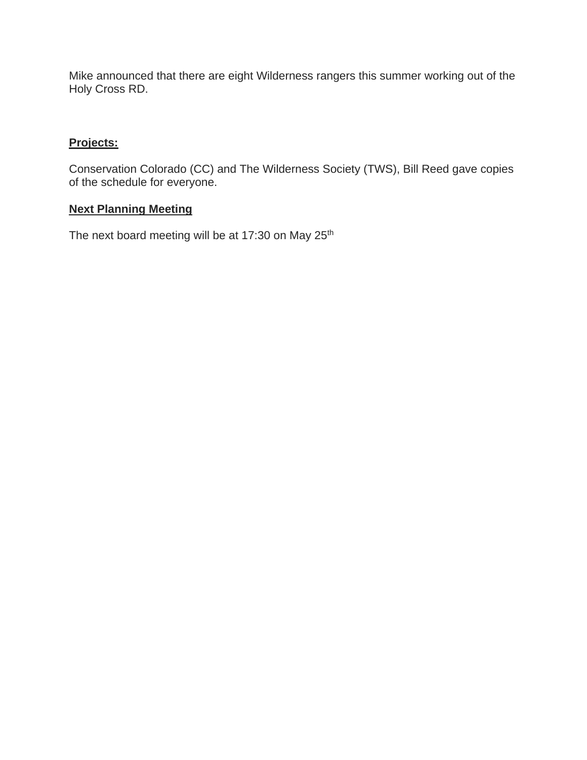Mike announced that there are eight Wilderness rangers this summer working out of the Holy Cross RD.

# **Projects:**

Conservation Colorado (CC) and The Wilderness Society (TWS), Bill Reed gave copies of the schedule for everyone.

# **Next Planning Meeting**

The next board meeting will be at 17:30 on May 25<sup>th</sup>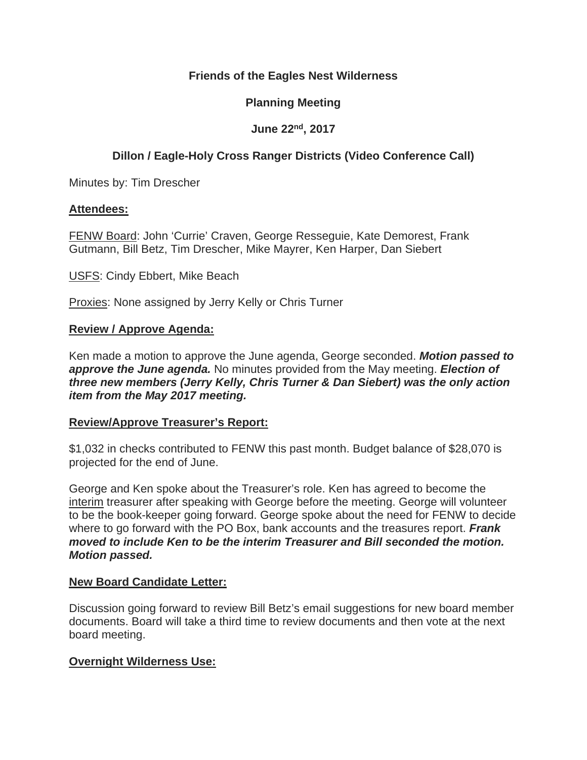# **Friends of the Eagles Nest Wilderness**

# **Planning Meeting**

# **June 22nd, 2017**

# **Dillon / Eagle-Holy Cross Ranger Districts (Video Conference Call)**

Minutes by: Tim Drescher

### **Attendees:**

FENW Board: John 'Currie' Craven, George Resseguie, Kate Demorest, Frank Gutmann, Bill Betz, Tim Drescher, Mike Mayrer, Ken Harper, Dan Siebert

USFS: Cindy Ebbert, Mike Beach

Proxies: None assigned by Jerry Kelly or Chris Turner

### **Review / Approve Agenda:**

Ken made a motion to approve the June agenda, George seconded. *Motion passed to approve the June agenda.* No minutes provided from the May meeting. *Election of three new members (Jerry Kelly, Chris Turner & Dan Siebert) was the only action item from the May 2017 meeting.*

#### **Review/Approve Treasurer's Report:**

\$1,032 in checks contributed to FENW this past month. Budget balance of \$28,070 is projected for the end of June.

George and Ken spoke about the Treasurer's role. Ken has agreed to become the interim treasurer after speaking with George before the meeting. George will volunteer to be the book-keeper going forward. George spoke about the need for FENW to decide where to go forward with the PO Box, bank accounts and the treasures report. *Frank moved to include Ken to be the interim Treasurer and Bill seconded the motion. Motion passed.*

#### **New Board Candidate Letter:**

Discussion going forward to review Bill Betz's email suggestions for new board member documents. Board will take a third time to review documents and then vote at the next board meeting.

# **Overnight Wilderness Use:**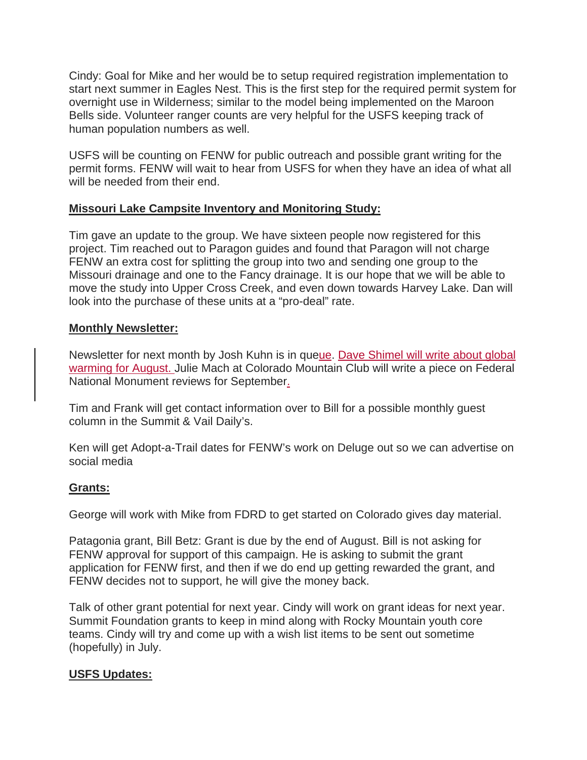Cindy: Goal for Mike and her would be to setup required registration implementation to start next summer in Eagles Nest. This is the first step for the required permit system for overnight use in Wilderness; similar to the model being implemented on the Maroon Bells side. Volunteer ranger counts are very helpful for the USFS keeping track of human population numbers as well.

USFS will be counting on FENW for public outreach and possible grant writing for the permit forms. FENW will wait to hear from USFS for when they have an idea of what all will be needed from their end.

# **Missouri Lake Campsite Inventory and Monitoring Study:**

Tim gave an update to the group. We have sixteen people now registered for this project. Tim reached out to Paragon guides and found that Paragon will not charge FENW an extra cost for splitting the group into two and sending one group to the Missouri drainage and one to the Fancy drainage. It is our hope that we will be able to move the study into Upper Cross Creek, and even down towards Harvey Lake. Dan will look into the purchase of these units at a "pro-deal" rate.

# **Monthly Newsletter:**

Newsletter for next month by Josh Kuhn is in queue. Dave Shimel will write about global warming for August. Julie Mach at Colorado Mountain Club will write a piece on Federal National Monument reviews for September.

Tim and Frank will get contact information over to Bill for a possible monthly guest column in the Summit & Vail Daily's.

Ken will get Adopt-a-Trail dates for FENW's work on Deluge out so we can advertise on social media

# **Grants:**

George will work with Mike from FDRD to get started on Colorado gives day material.

Patagonia grant, Bill Betz: Grant is due by the end of August. Bill is not asking for FENW approval for support of this campaign. He is asking to submit the grant application for FENW first, and then if we do end up getting rewarded the grant, and FENW decides not to support, he will give the money back.

Talk of other grant potential for next year. Cindy will work on grant ideas for next year. Summit Foundation grants to keep in mind along with Rocky Mountain youth core teams. Cindy will try and come up with a wish list items to be sent out sometime (hopefully) in July.

# **USFS Updates:**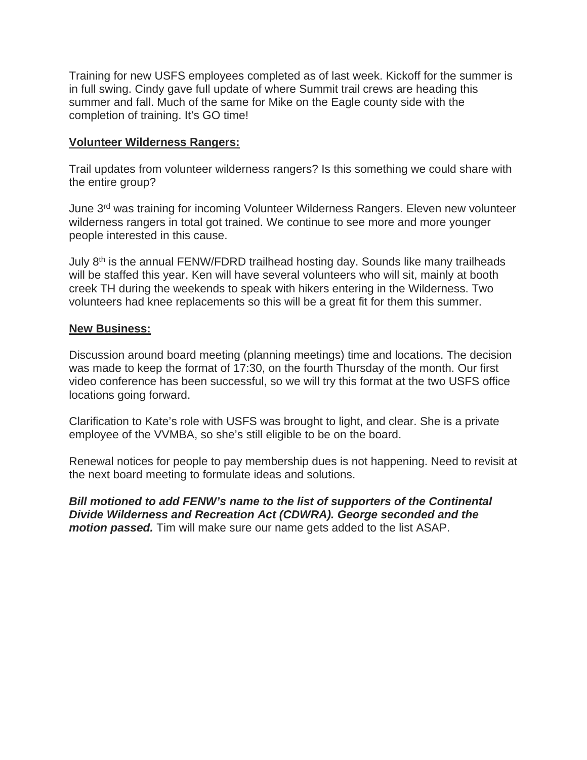Training for new USFS employees completed as of last week. Kickoff for the summer is in full swing. Cindy gave full update of where Summit trail crews are heading this summer and fall. Much of the same for Mike on the Eagle county side with the completion of training. It's GO time!

# **Volunteer Wilderness Rangers:**

Trail updates from volunteer wilderness rangers? Is this something we could share with the entire group?

June 3rd was training for incoming Volunteer Wilderness Rangers. Eleven new volunteer wilderness rangers in total got trained. We continue to see more and more younger people interested in this cause.

July 8<sup>th</sup> is the annual FENW/FDRD trailhead hosting day. Sounds like many trailheads will be staffed this year. Ken will have several volunteers who will sit, mainly at booth creek TH during the weekends to speak with hikers entering in the Wilderness. Two volunteers had knee replacements so this will be a great fit for them this summer.

# **New Business:**

Discussion around board meeting (planning meetings) time and locations. The decision was made to keep the format of 17:30, on the fourth Thursday of the month. Our first video conference has been successful, so we will try this format at the two USFS office locations going forward.

Clarification to Kate's role with USFS was brought to light, and clear. She is a private employee of the VVMBA, so she's still eligible to be on the board.

Renewal notices for people to pay membership dues is not happening. Need to revisit at the next board meeting to formulate ideas and solutions.

*Bill motioned to add FENW's name to the list of supporters of the Continental Divide Wilderness and Recreation Act (CDWRA). George seconded and the motion passed.* Tim will make sure our name gets added to the list ASAP.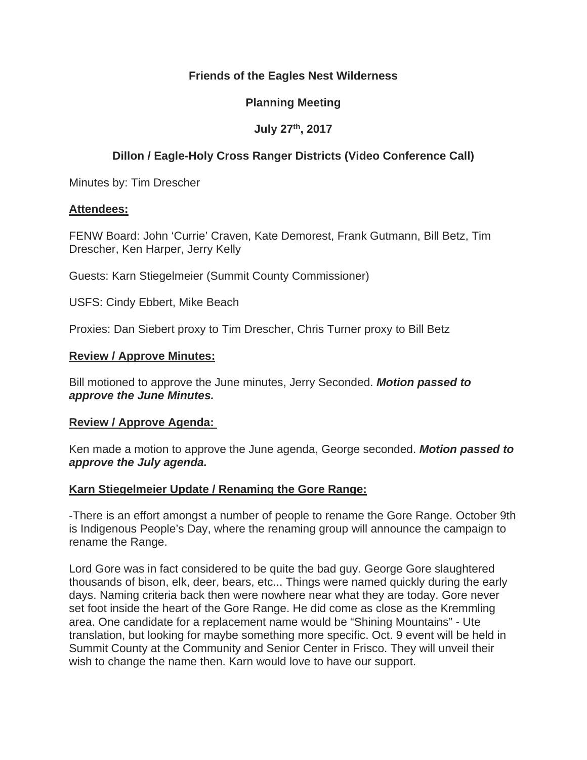# **Friends of the Eagles Nest Wilderness**

# **Planning Meeting**

# **July 27th, 2017**

# **Dillon / Eagle-Holy Cross Ranger Districts (Video Conference Call)**

Minutes by: Tim Drescher

### **Attendees:**

FENW Board: John 'Currie' Craven, Kate Demorest, Frank Gutmann, Bill Betz, Tim Drescher, Ken Harper, Jerry Kelly

Guests: Karn Stiegelmeier (Summit County Commissioner)

USFS: Cindy Ebbert, Mike Beach

Proxies: Dan Siebert proxy to Tim Drescher, Chris Turner proxy to Bill Betz

### **Review / Approve Minutes:**

Bill motioned to approve the June minutes, Jerry Seconded. *Motion passed to approve the June Minutes.* 

#### **Review / Approve Agenda:**

Ken made a motion to approve the June agenda, George seconded. *Motion passed to approve the July agenda.*

# **Karn Stiegelmeier Update / Renaming the Gore Range:**

-There is an effort amongst a number of people to rename the Gore Range. October 9th is Indigenous People's Day, where the renaming group will announce the campaign to rename the Range.

Lord Gore was in fact considered to be quite the bad guy. George Gore slaughtered thousands of bison, elk, deer, bears, etc... Things were named quickly during the early days. Naming criteria back then were nowhere near what they are today. Gore never set foot inside the heart of the Gore Range. He did come as close as the Kremmling area. One candidate for a replacement name would be "Shining Mountains" - Ute translation, but looking for maybe something more specific. Oct. 9 event will be held in Summit County at the Community and Senior Center in Frisco. They will unveil their wish to change the name then. Karn would love to have our support.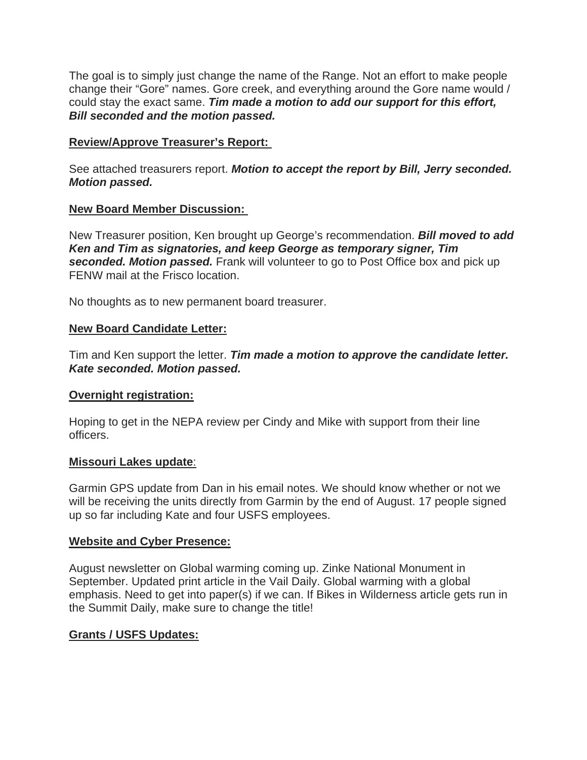The goal is to simply just change the name of the Range. Not an effort to make people change their "Gore" names. Gore creek, and everything around the Gore name would / could stay the exact same. *Tim made a motion to add our support for this effort, Bill seconded and the motion passed.*

# **Review/Approve Treasurer's Report:**

See attached treasurers report. *Motion to accept the report by Bill, Jerry seconded. Motion passed.*

# **New Board Member Discussion:**

New Treasurer position, Ken brought up George's recommendation. *Bill moved to add Ken and Tim as signatories, and keep George as temporary signer, Tim seconded. Motion passed.* Frank will volunteer to go to Post Office box and pick up FENW mail at the Frisco location.

No thoughts as to new permanent board treasurer.

# **New Board Candidate Letter:**

Tim and Ken support the letter. *Tim made a motion to approve the candidate letter. Kate seconded. Motion passed.*

# **Overnight registration:**

Hoping to get in the NEPA review per Cindy and Mike with support from their line officers.

# **Missouri Lakes update**:

Garmin GPS update from Dan in his email notes. We should know whether or not we will be receiving the units directly from Garmin by the end of August. 17 people signed up so far including Kate and four USFS employees.

# **Website and Cyber Presence:**

August newsletter on Global warming coming up. Zinke National Monument in September. Updated print article in the Vail Daily. Global warming with a global emphasis. Need to get into paper(s) if we can. If Bikes in Wilderness article gets run in the Summit Daily, make sure to change the title!

# **Grants / USFS Updates:**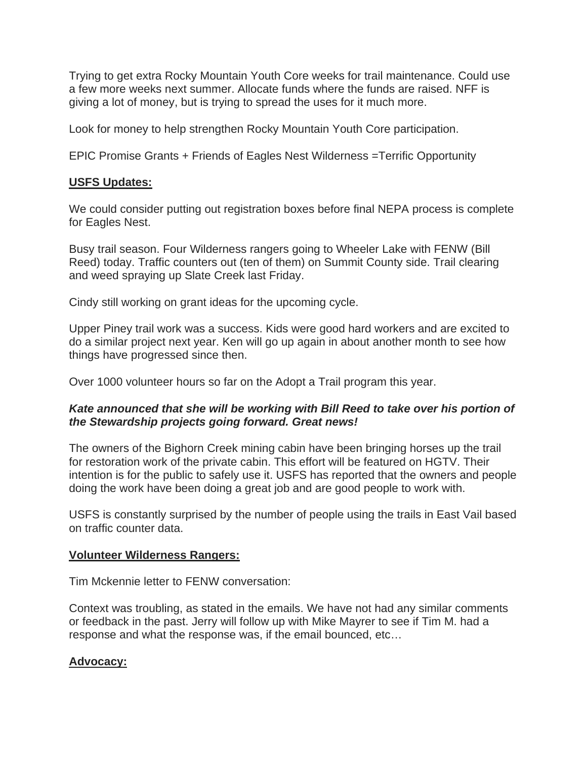Trying to get extra Rocky Mountain Youth Core weeks for trail maintenance. Could use a few more weeks next summer. Allocate funds where the funds are raised. NFF is giving a lot of money, but is trying to spread the uses for it much more.

Look for money to help strengthen Rocky Mountain Youth Core participation.

EPIC Promise Grants + Friends of Eagles Nest Wilderness =Terrific Opportunity

### **USFS Updates:**

We could consider putting out registration boxes before final NEPA process is complete for Eagles Nest.

Busy trail season. Four Wilderness rangers going to Wheeler Lake with FENW (Bill Reed) today. Traffic counters out (ten of them) on Summit County side. Trail clearing and weed spraying up Slate Creek last Friday.

Cindy still working on grant ideas for the upcoming cycle.

Upper Piney trail work was a success. Kids were good hard workers and are excited to do a similar project next year. Ken will go up again in about another month to see how things have progressed since then.

Over 1000 volunteer hours so far on the Adopt a Trail program this year.

# *Kate announced that she will be working with Bill Reed to take over his portion of the Stewardship projects going forward. Great news!*

The owners of the Bighorn Creek mining cabin have been bringing horses up the trail for restoration work of the private cabin. This effort will be featured on HGTV. Their intention is for the public to safely use it. USFS has reported that the owners and people doing the work have been doing a great job and are good people to work with.

USFS is constantly surprised by the number of people using the trails in East Vail based on traffic counter data.

#### **Volunteer Wilderness Rangers:**

Tim Mckennie letter to FENW conversation:

Context was troubling, as stated in the emails. We have not had any similar comments or feedback in the past. Jerry will follow up with Mike Mayrer to see if Tim M. had a response and what the response was, if the email bounced, etc…

# **Advocacy:**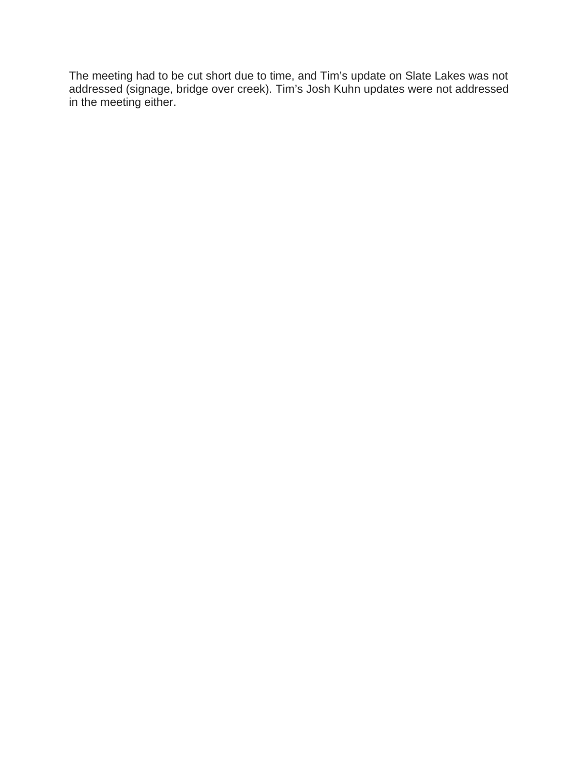The meeting had to be cut short due to time, and Tim's update on Slate Lakes was not addressed (signage, bridge over creek). Tim's Josh Kuhn updates were not addressed in the meeting either.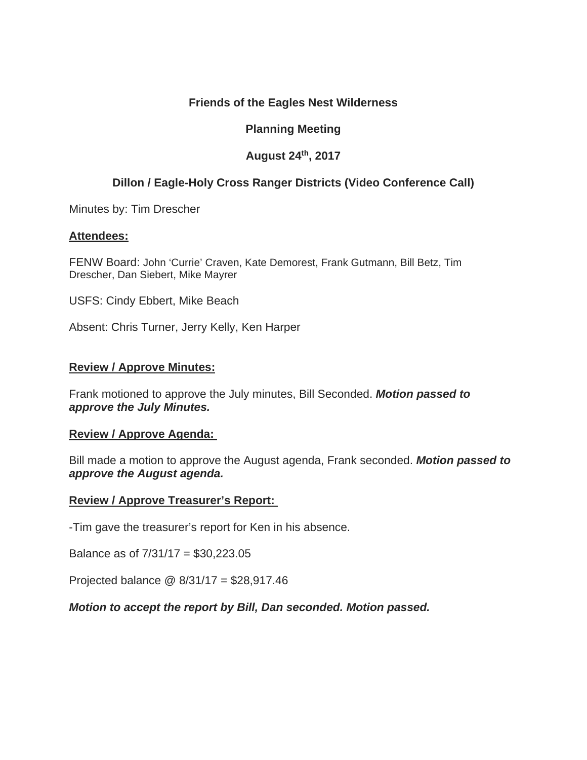# **Friends of the Eagles Nest Wilderness**

# **Planning Meeting**

# **August 24th, 2017**

# **Dillon / Eagle-Holy Cross Ranger Districts (Video Conference Call)**

Minutes by: Tim Drescher

### **Attendees:**

FENW Board: John 'Currie' Craven, Kate Demorest, Frank Gutmann, Bill Betz, Tim Drescher, Dan Siebert, Mike Mayrer

USFS: Cindy Ebbert, Mike Beach

Absent: Chris Turner, Jerry Kelly, Ken Harper

### **Review / Approve Minutes:**

Frank motioned to approve the July minutes, Bill Seconded. *Motion passed to approve the July Minutes.* 

# **Review / Approve Agenda:**

Bill made a motion to approve the August agenda, Frank seconded. *Motion passed to approve the August agenda.*

#### **Review / Approve Treasurer's Report:**

-Tim gave the treasurer's report for Ken in his absence.

Balance as of 7/31/17 = \$30,223.05

Projected balance @ 8/31/17 = \$28,917.46

# *Motion to accept the report by Bill, Dan seconded. Motion passed.*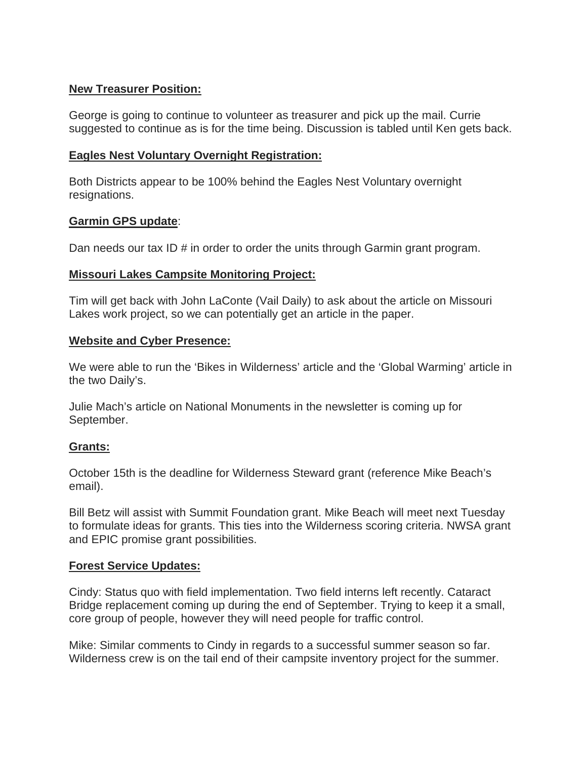# **New Treasurer Position:**

George is going to continue to volunteer as treasurer and pick up the mail. Currie suggested to continue as is for the time being. Discussion is tabled until Ken gets back.

# **Eagles Nest Voluntary Overnight Registration:**

Both Districts appear to be 100% behind the Eagles Nest Voluntary overnight resignations.

# **Garmin GPS update**:

Dan needs our tax ID # in order to order the units through Garmin grant program.

# **Missouri Lakes Campsite Monitoring Project:**

Tim will get back with John LaConte (Vail Daily) to ask about the article on Missouri Lakes work project, so we can potentially get an article in the paper.

# **Website and Cyber Presence:**

We were able to run the 'Bikes in Wilderness' article and the 'Global Warming' article in the two Daily's.

Julie Mach's article on National Monuments in the newsletter is coming up for September.

# **Grants:**

October 15th is the deadline for Wilderness Steward grant (reference Mike Beach's email).

Bill Betz will assist with Summit Foundation grant. Mike Beach will meet next Tuesday to formulate ideas for grants. This ties into the Wilderness scoring criteria. NWSA grant and EPIC promise grant possibilities.

# **Forest Service Updates:**

Cindy: Status quo with field implementation. Two field interns left recently. Cataract Bridge replacement coming up during the end of September. Trying to keep it a small, core group of people, however they will need people for traffic control.

Mike: Similar comments to Cindy in regards to a successful summer season so far. Wilderness crew is on the tail end of their campsite inventory project for the summer.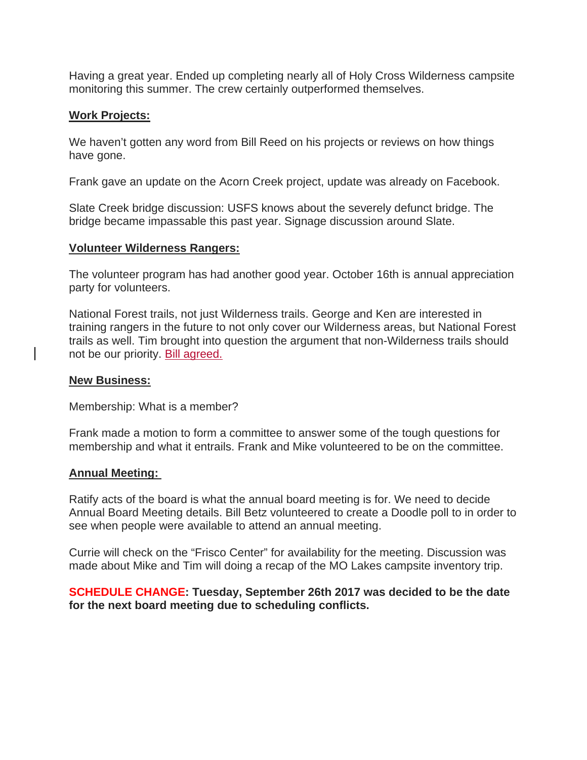Having a great year. Ended up completing nearly all of Holy Cross Wilderness campsite monitoring this summer. The crew certainly outperformed themselves.

### **Work Projects:**

We haven't gotten any word from Bill Reed on his projects or reviews on how things have gone.

Frank gave an update on the Acorn Creek project, update was already on Facebook.

Slate Creek bridge discussion: USFS knows about the severely defunct bridge. The bridge became impassable this past year. Signage discussion around Slate.

#### **Volunteer Wilderness Rangers:**

The volunteer program has had another good year. October 16th is annual appreciation party for volunteers.

National Forest trails, not just Wilderness trails. George and Ken are interested in training rangers in the future to not only cover our Wilderness areas, but National Forest trails as well. Tim brought into question the argument that non-Wilderness trails should not be our priority. Bill agreed.

#### **New Business:**

Membership: What is a member?

Frank made a motion to form a committee to answer some of the tough questions for membership and what it entrails. Frank and Mike volunteered to be on the committee.

#### **Annual Meeting:**

Ratify acts of the board is what the annual board meeting is for. We need to decide Annual Board Meeting details. Bill Betz volunteered to create a Doodle poll to in order to see when people were available to attend an annual meeting.

Currie will check on the "Frisco Center" for availability for the meeting. Discussion was made about Mike and Tim will doing a recap of the MO Lakes campsite inventory trip.

# **SCHEDULE CHANGE: Tuesday, September 26th 2017 was decided to be the date for the next board meeting due to scheduling conflicts.**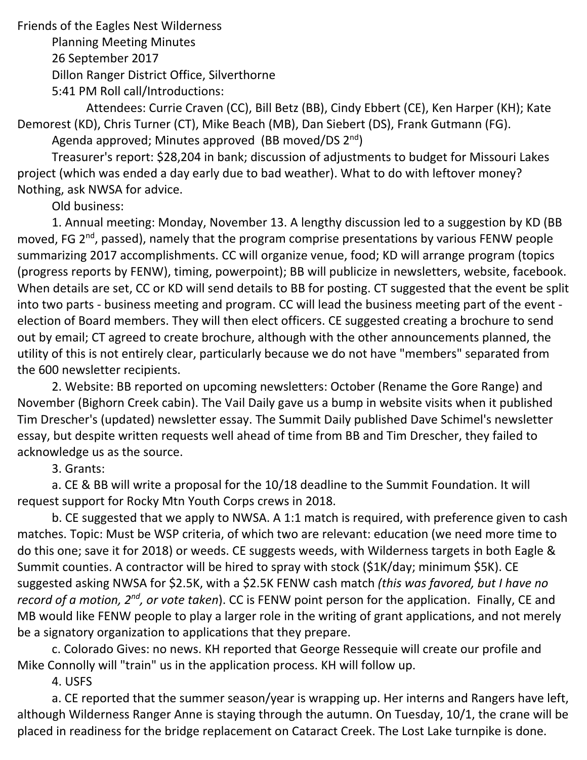Friends of the Eagles Nest Wilderness

Planning Meeting Minutes

26 September 2017

Dillon Ranger District Office, Silverthorne

5:41 PM Roll call/Introductions:

 Attendees: Currie Craven (CC), Bill Betz (BB), Cindy Ebbert (CE), Ken Harper (KH); Kate Demorest (KD), Chris Turner (CT), Mike Beach (MB), Dan Siebert (DS), Frank Gutmann (FG).

Agenda approved; Minutes approved (BB moved/DS  $2^{nd}$ )

Treasurer's report: \$28,204 in bank; discussion of adjustments to budget for Missouri Lakes project (which was ended a day early due to bad weather). What to do with leftover money? Nothing, ask NWSA for advice.

Old business:

1. Annual meeting: Monday, November 13. A lengthy discussion led to a suggestion by KD (BB moved, FG 2<sup>nd</sup>, passed), namely that the program comprise presentations by various FENW people summarizing 2017 accomplishments. CC will organize venue, food; KD will arrange program (topics (progress reports by FENW), timing, powerpoint); BB will publicize in newsletters, website, facebook. When details are set, CC or KD will send details to BB for posting. CT suggested that the event be split into two parts ‐ business meeting and program. CC will lead the business meeting part of the event ‐ election of Board members. They will then elect officers. CE suggested creating a brochure to send out by email; CT agreed to create brochure, although with the other announcements planned, the utility of this is not entirely clear, particularly because we do not have "members" separated from the 600 newsletter recipients.

 2. Website: BB reported on upcoming newsletters: October (Rename the Gore Range) and November (Bighorn Creek cabin). The Vail Daily gave us a bump in website visits when it published Tim Drescher's (updated) newsletter essay. The Summit Daily published Dave Schimel's newsletter essay, but despite written requests well ahead of time from BB and Tim Drescher, they failed to acknowledge us as the source.

3. Grants:

a. CE & BB will write a proposal for the 10/18 deadline to the Summit Foundation. It will request support for Rocky Mtn Youth Corps crews in 2018.

b. CE suggested that we apply to NWSA. A 1:1 match is required, with preference given to cash matches. Topic: Must be WSP criteria, of which two are relevant: education (we need more time to do this one; save it for 2018) or weeds. CE suggests weeds, with Wilderness targets in both Eagle & Summit counties. A contractor will be hired to spray with stock (\$1K/day; minimum \$5K). CE suggested asking NWSA for \$2.5K, with a \$2.5K FENW cash match *(this was favored, but I have no record of a motion, 2nd, or vote taken*). CC is FENW point person for the application. Finally, CE and MB would like FENW people to play a larger role in the writing of grant applications, and not merely be a signatory organization to applications that they prepare.

c. Colorado Gives: no news. KH reported that George Ressequie will create our profile and Mike Connolly will "train" us in the application process. KH will follow up.

4. USFS

a. CE reported that the summer season/year is wrapping up. Her interns and Rangers have left, although Wilderness Ranger Anne is staying through the autumn. On Tuesday, 10/1, the crane will be placed in readiness for the bridge replacement on Cataract Creek. The Lost Lake turnpike is done.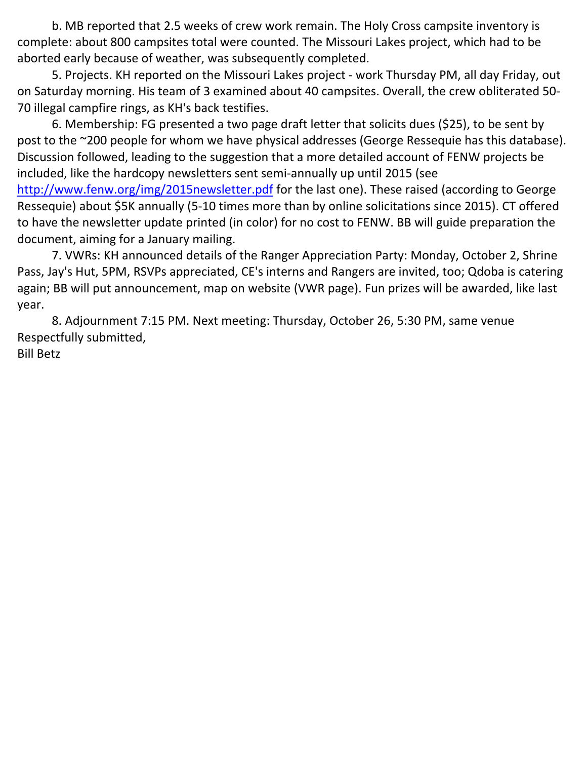b. MB reported that 2.5 weeks of crew work remain. The Holy Cross campsite inventory is complete: about 800 campsites total were counted. The Missouri Lakes project, which had to be aborted early because of weather, was subsequently completed.

5. Projects. KH reported on the Missouri Lakes project ‐ work Thursday PM, all day Friday, out on Saturday morning. His team of 3 examined about 40 campsites. Overall, the crew obliterated 50‐ 70 illegal campfire rings, as KH's back testifies.

6. Membership: FG presented a two page draft letter that solicits dues (\$25), to be sent by post to the ~200 people for whom we have physical addresses (George Ressequie has this database). Discussion followed, leading to the suggestion that a more detailed account of FENW projects be included, like the hardcopy newsletters sent semi‐annually up until 2015 (see http://www.fenw.org/img/2015newsletter.pdf for the last one). These raised (according to George Ressequie) about \$5K annually (5‐10 times more than by online solicitations since 2015). CT offered to have the newsletter update printed (in color) for no cost to FENW. BB will guide preparation the document, aiming for a January mailing.

7. VWRs: KH announced details of the Ranger Appreciation Party: Monday, October 2, Shrine Pass, Jay's Hut, 5PM, RSVPs appreciated, CE's interns and Rangers are invited, too; Qdoba is catering again; BB will put announcement, map on website (VWR page). Fun prizes will be awarded, like last year.

8. Adjournment 7:15 PM. Next meeting: Thursday, October 26, 5:30 PM, same venue Respectfully submitted, Bill Betz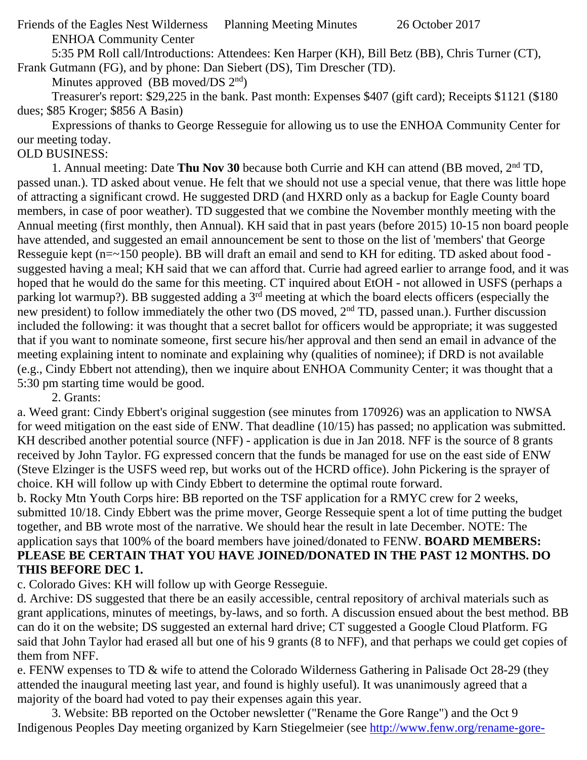Friends of the Eagles Nest Wilderness Planning Meeting Minutes 26 October 2017 ENHOA Community Center

5:35 PM Roll call/Introductions: Attendees: Ken Harper (KH), Bill Betz (BB), Chris Turner (CT),

Frank Gutmann (FG), and by phone: Dan Siebert (DS), Tim Drescher (TD).

Minutes approved (BB moved/DS  $2<sup>nd</sup>$ )

 Treasurer's report: \$29,225 in the bank. Past month: Expenses \$407 (gift card); Receipts \$1121 (\$180 dues; \$85 Kroger; \$856 A Basin)

 Expressions of thanks to George Resseguie for allowing us to use the ENHOA Community Center for our meeting today.

# OLD BUSINESS:

 1. Annual meeting: Date **Thu Nov 30** because both Currie and KH can attend (BB moved, 2nd TD, passed unan.). TD asked about venue. He felt that we should not use a special venue, that there was little hope of attracting a significant crowd. He suggested DRD (and HXRD only as a backup for Eagle County board members, in case of poor weather). TD suggested that we combine the November monthly meeting with the Annual meeting (first monthly, then Annual). KH said that in past years (before 2015) 10-15 non board people have attended, and suggested an email announcement be sent to those on the list of 'members' that George Resseguie kept (n=~150 people). BB will draft an email and send to KH for editing. TD asked about food suggested having a meal; KH said that we can afford that. Currie had agreed earlier to arrange food, and it was hoped that he would do the same for this meeting. CT inquired about EtOH - not allowed in USFS (perhaps a parking lot warmup?). BB suggested adding a 3<sup>rd</sup> meeting at which the board elects officers (especially the new president) to follow immediately the other two (DS moved, 2nd TD, passed unan.). Further discussion included the following: it was thought that a secret ballot for officers would be appropriate; it was suggested that if you want to nominate someone, first secure his/her approval and then send an email in advance of the meeting explaining intent to nominate and explaining why (qualities of nominee); if DRD is not available (e.g., Cindy Ebbert not attending), then we inquire about ENHOA Community Center; it was thought that a 5:30 pm starting time would be good.

2. Grants:

a. Weed grant: Cindy Ebbert's original suggestion (see minutes from 170926) was an application to NWSA for weed mitigation on the east side of ENW. That deadline (10/15) has passed; no application was submitted. KH described another potential source (NFF) - application is due in Jan 2018. NFF is the source of 8 grants received by John Taylor. FG expressed concern that the funds be managed for use on the east side of ENW (Steve Elzinger is the USFS weed rep, but works out of the HCRD office). John Pickering is the sprayer of choice. KH will follow up with Cindy Ebbert to determine the optimal route forward.

b. Rocky Mtn Youth Corps hire: BB reported on the TSF application for a RMYC crew for 2 weeks, submitted 10/18. Cindy Ebbert was the prime mover, George Ressequie spent a lot of time putting the budget together, and BB wrote most of the narrative. We should hear the result in late December. NOTE: The application says that 100% of the board members have joined/donated to FENW. **BOARD MEMBERS: PLEASE BE CERTAIN THAT YOU HAVE JOINED/DONATED IN THE PAST 12 MONTHS. DO THIS BEFORE DEC 1.**

c. Colorado Gives: KH will follow up with George Resseguie.

d. Archive: DS suggested that there be an easily accessible, central repository of archival materials such as grant applications, minutes of meetings, by-laws, and so forth. A discussion ensued about the best method. BB can do it on the website; DS suggested an external hard drive; CT suggested a Google Cloud Platform. FG said that John Taylor had erased all but one of his 9 grants (8 to NFF), and that perhaps we could get copies of them from NFF.

e. FENW expenses to TD & wife to attend the Colorado Wilderness Gathering in Palisade Oct 28-29 (they attended the inaugural meeting last year, and found is highly useful). It was unanimously agreed that a majority of the board had voted to pay their expenses again this year.

 3. Website: BB reported on the October newsletter ("Rename the Gore Range") and the Oct 9 Indigenous Peoples Day meeting organized by Karn Stiegelmeier (see http://www.fenw.org/rename-gore-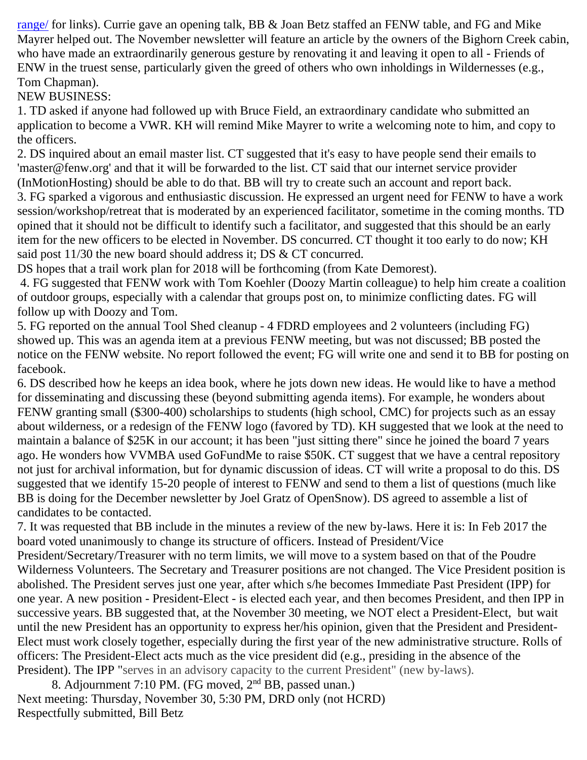range/ for links). Currie gave an opening talk, BB & Joan Betz staffed an FENW table, and FG and Mike Mayrer helped out. The November newsletter will feature an article by the owners of the Bighorn Creek cabin, who have made an extraordinarily generous gesture by renovating it and leaving it open to all - Friends of ENW in the truest sense, particularly given the greed of others who own inholdings in Wildernesses (e.g., Tom Chapman).

# NEW BUSINESS:

1. TD asked if anyone had followed up with Bruce Field, an extraordinary candidate who submitted an application to become a VWR. KH will remind Mike Mayrer to write a welcoming note to him, and copy to the officers.

2. DS inquired about an email master list. CT suggested that it's easy to have people send their emails to 'master@fenw.org' and that it will be forwarded to the list. CT said that our internet service provider (InMotionHosting) should be able to do that. BB will try to create such an account and report back.

3. FG sparked a vigorous and enthusiastic discussion. He expressed an urgent need for FENW to have a work session/workshop/retreat that is moderated by an experienced facilitator, sometime in the coming months. TD opined that it should not be difficult to identify such a facilitator, and suggested that this should be an early item for the new officers to be elected in November. DS concurred. CT thought it too early to do now; KH said post 11/30 the new board should address it; DS & CT concurred.

DS hopes that a trail work plan for 2018 will be forthcoming (from Kate Demorest).

 4. FG suggested that FENW work with Tom Koehler (Doozy Martin colleague) to help him create a coalition of outdoor groups, especially with a calendar that groups post on, to minimize conflicting dates. FG will follow up with Doozy and Tom.

5. FG reported on the annual Tool Shed cleanup - 4 FDRD employees and 2 volunteers (including FG) showed up. This was an agenda item at a previous FENW meeting, but was not discussed; BB posted the notice on the FENW website. No report followed the event; FG will write one and send it to BB for posting on facebook.

6. DS described how he keeps an idea book, where he jots down new ideas. He would like to have a method for disseminating and discussing these (beyond submitting agenda items). For example, he wonders about FENW granting small (\$300-400) scholarships to students (high school, CMC) for projects such as an essay about wilderness, or a redesign of the FENW logo (favored by TD). KH suggested that we look at the need to maintain a balance of \$25K in our account; it has been "just sitting there" since he joined the board 7 years ago. He wonders how VVMBA used GoFundMe to raise \$50K. CT suggest that we have a central repository not just for archival information, but for dynamic discussion of ideas. CT will write a proposal to do this. DS suggested that we identify 15-20 people of interest to FENW and send to them a list of questions (much like BB is doing for the December newsletter by Joel Gratz of OpenSnow). DS agreed to assemble a list of candidates to be contacted.

7. It was requested that BB include in the minutes a review of the new by-laws. Here it is: In Feb 2017 the board voted unanimously to change its structure of officers. Instead of President/Vice

President/Secretary/Treasurer with no term limits, we will move to a system based on that of the Poudre Wilderness Volunteers. The Secretary and Treasurer positions are not changed. The Vice President position is abolished. The President serves just one year, after which s/he becomes Immediate Past President (IPP) for one year. A new position - President-Elect - is elected each year, and then becomes President, and then IPP in successive years. BB suggested that, at the November 30 meeting, we NOT elect a President-Elect, but wait until the new President has an opportunity to express her/his opinion, given that the President and President-Elect must work closely together, especially during the first year of the new administrative structure. Rolls of officers: The President-Elect acts much as the vice president did (e.g., presiding in the absence of the President). The IPP "serves in an advisory capacity to the current President" (new by-laws).

 8. Adjournment 7:10 PM. (FG moved, 2nd BB, passed unan.) Next meeting: Thursday, November 30, 5:30 PM, DRD only (not HCRD) Respectfully submitted, Bill Betz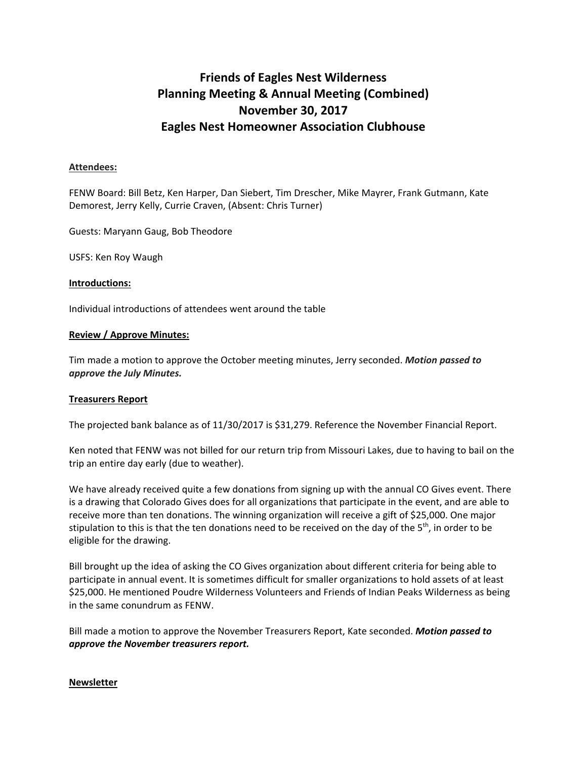# **Friends of Eagles Nest Wilderness Planning Meeting & Annual Meeting (Combined) November 30, 2017 Eagles Nest Homeowner Association Clubhouse**

#### **Attendees:**

FENW Board: Bill Betz, Ken Harper, Dan Siebert, Tim Drescher, Mike Mayrer, Frank Gutmann, Kate Demorest, Jerry Kelly, Currie Craven, (Absent: Chris Turner)

Guests: Maryann Gaug, Bob Theodore

USFS: Ken Roy Waugh

#### **Introductions:**

Individual introductions of attendees went around the table

#### **Review / Approve Minutes:**

Tim made a motion to approve the October meeting minutes, Jerry seconded. *Motion passed to approve the July Minutes.*

#### **Treasurers Report**

The projected bank balance as of 11/30/2017 is \$31,279. Reference the November Financial Report.

Ken noted that FENW was not billed for our return trip from Missouri Lakes, due to having to bail on the trip an entire day early (due to weather).

We have already received quite a few donations from signing up with the annual CO Gives event. There is a drawing that Colorado Gives does for all organizations that participate in the event, and are able to receive more than ten donations. The winning organization will receive a gift of \$25,000. One major stipulation to this is that the ten donations need to be received on the day of the  $5<sup>th</sup>$ , in order to be eligible for the drawing.

Bill brought up the idea of asking the CO Gives organization about different criteria for being able to participate in annual event. It is sometimes difficult for smaller organizations to hold assets of at least \$25,000. He mentioned Poudre Wilderness Volunteers and Friends of Indian Peaks Wilderness as being in the same conundrum as FENW.

Bill made a motion to approve the November Treasurers Report, Kate seconded. *Motion passed to approve the November treasurers report.*

#### **Newsletter**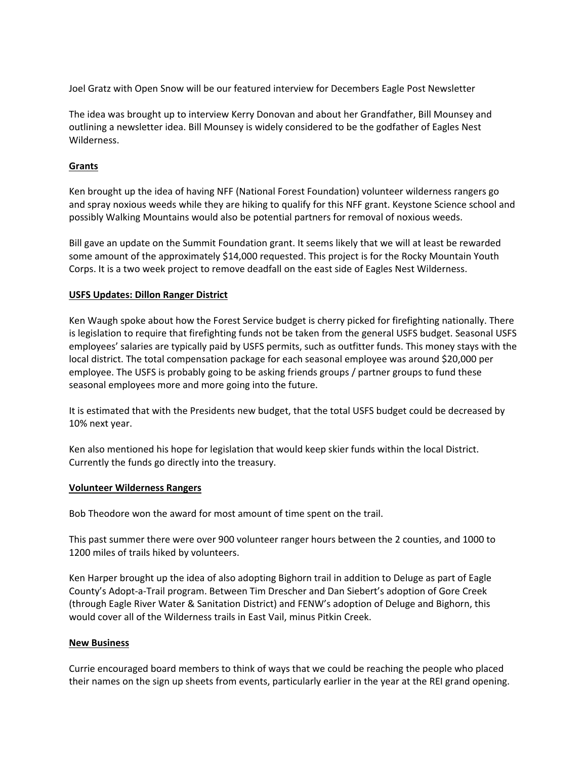Joel Gratz with Open Snow will be our featured interview for Decembers Eagle Post Newsletter

The idea was brought up to interview Kerry Donovan and about her Grandfather, Bill Mounsey and outlining a newsletter idea. Bill Mounsey is widely considered to be the godfather of Eagles Nest Wilderness.

#### **Grants**

Ken brought up the idea of having NFF (National Forest Foundation) volunteer wilderness rangers go and spray noxious weeds while they are hiking to qualify for this NFF grant. Keystone Science school and possibly Walking Mountains would also be potential partners for removal of noxious weeds.

Bill gave an update on the Summit Foundation grant. It seems likely that we will at least be rewarded some amount of the approximately \$14,000 requested. This project is for the Rocky Mountain Youth Corps. It is a two week project to remove deadfall on the east side of Eagles Nest Wilderness.

#### **USFS Updates: Dillon Ranger District**

Ken Waugh spoke about how the Forest Service budget is cherry picked for firefighting nationally. There is legislation to require that firefighting funds not be taken from the general USFS budget. Seasonal USFS employees' salaries are typically paid by USFS permits, such as outfitter funds. This money stays with the local district. The total compensation package for each seasonal employee was around \$20,000 per employee. The USFS is probably going to be asking friends groups / partner groups to fund these seasonal employees more and more going into the future.

It is estimated that with the Presidents new budget, that the total USFS budget could be decreased by 10% next year.

Ken also mentioned his hope for legislation that would keep skier funds within the local District. Currently the funds go directly into the treasury.

#### **Volunteer Wilderness Rangers**

Bob Theodore won the award for most amount of time spent on the trail.

This past summer there were over 900 volunteer ranger hours between the 2 counties, and 1000 to 1200 miles of trails hiked by volunteers.

Ken Harper brought up the idea of also adopting Bighorn trail in addition to Deluge as part of Eagle County's Adopt‐a‐Trail program. Between Tim Drescher and Dan Siebert's adoption of Gore Creek (through Eagle River Water & Sanitation District) and FENW's adoption of Deluge and Bighorn, this would cover all of the Wilderness trails in East Vail, minus Pitkin Creek.

#### **New Business**

Currie encouraged board members to think of ways that we could be reaching the people who placed their names on the sign up sheets from events, particularly earlier in the year at the REI grand opening.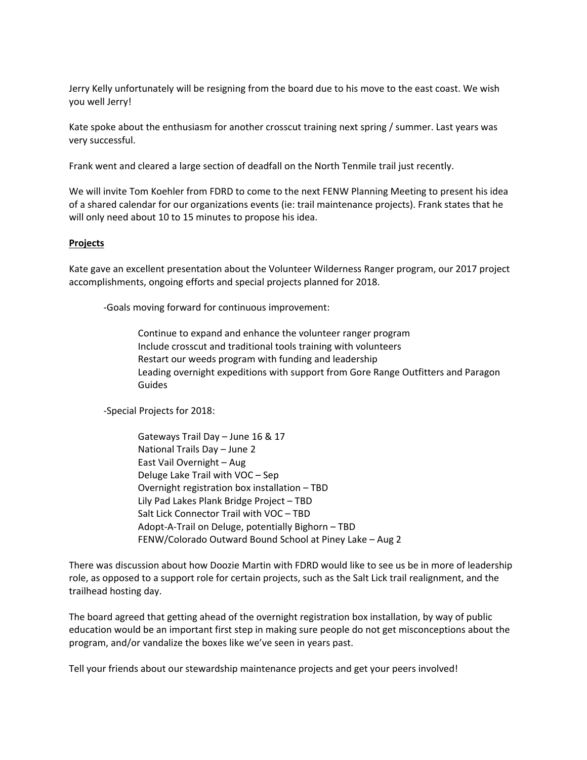Jerry Kelly unfortunately will be resigning from the board due to his move to the east coast. We wish you well Jerry!

Kate spoke about the enthusiasm for another crosscut training next spring / summer. Last years was very successful.

Frank went and cleared a large section of deadfall on the North Tenmile trail just recently.

We will invite Tom Koehler from FDRD to come to the next FENW Planning Meeting to present his idea of a shared calendar for our organizations events (ie: trail maintenance projects). Frank states that he will only need about 10 to 15 minutes to propose his idea.

#### **Projects**

Kate gave an excellent presentation about the Volunteer Wilderness Ranger program, our 2017 project accomplishments, ongoing efforts and special projects planned for 2018.

‐Goals moving forward for continuous improvement:

Continue to expand and enhance the volunteer ranger program Include crosscut and traditional tools training with volunteers Restart our weeds program with funding and leadership Leading overnight expeditions with support from Gore Range Outfitters and Paragon Guides

‐Special Projects for 2018:

Gateways Trail Day – June 16 & 17 National Trails Day – June 2 East Vail Overnight – Aug Deluge Lake Trail with VOC – Sep Overnight registration box installation – TBD Lily Pad Lakes Plank Bridge Project – TBD Salt Lick Connector Trail with VOC – TBD Adopt‐A‐Trail on Deluge, potentially Bighorn – TBD FENW/Colorado Outward Bound School at Piney Lake – Aug 2

There was discussion about how Doozie Martin with FDRD would like to see us be in more of leadership role, as opposed to a support role for certain projects, such as the Salt Lick trail realignment, and the trailhead hosting day.

The board agreed that getting ahead of the overnight registration box installation, by way of public education would be an important first step in making sure people do not get misconceptions about the program, and/or vandalize the boxes like we've seen in years past.

Tell your friends about our stewardship maintenance projects and get your peers involved!